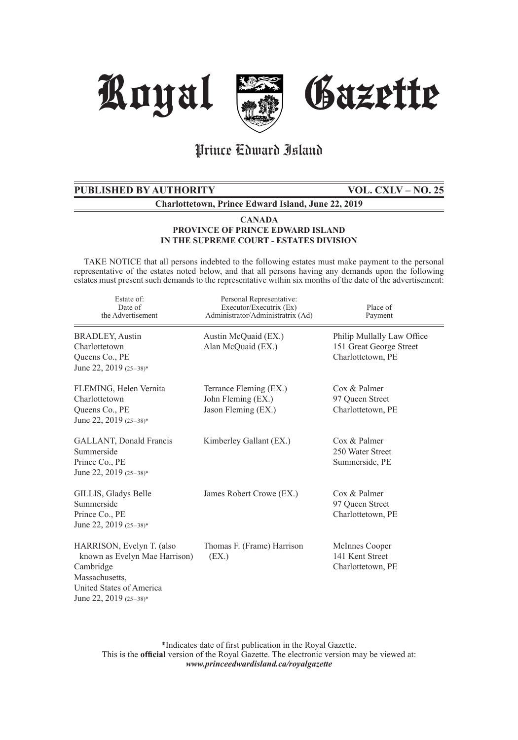

## Prince Edward Island

# **PUBLISHED BY AUTHORITY VOL. CXLV – NO. 25**

**Charlottetown, Prince Edward Island, June 22, 2019**

## **CANADA PROVINCE OF PRINCE EDWARD ISLAND IN THE SUPREME COURT - ESTATES DIVISION**

 TAKE NOTICE that all persons indebted to the following estates must make payment to the personal representative of the estates noted below, and that all persons having any demands upon the following estates must present such demands to the representative within six months of the date of the advertisement:

| Estate of:<br>Date of<br>the Advertisement                                                                                                      | Personal Representative:<br>Executor/Executrix (Ex)<br>Administrator/Administratrix (Ad) | Place of<br>Payment                                                        |
|-------------------------------------------------------------------------------------------------------------------------------------------------|------------------------------------------------------------------------------------------|----------------------------------------------------------------------------|
| <b>BRADLEY, Austin</b><br>Charlottetown<br>Queens Co., PE<br>June 22, 2019 $(25-38)*$                                                           | Austin McQuaid (EX.)<br>Alan McQuaid (EX.)                                               | Philip Mullally Law Office<br>151 Great George Street<br>Charlottetown, PE |
| FLEMING, Helen Vernita<br>Charlottetown<br>Queens Co., PE<br>June 22, 2019 $(25-38)*$                                                           | Terrance Fleming (EX.)<br>John Fleming (EX.)<br>Jason Fleming (EX.)                      | Cox & Palmer<br>97 Queen Street<br>Charlottetown, PE                       |
| GALLANT, Donald Francis<br>Summerside<br>Prince Co., PE<br>June 22, 2019 (25-38)*                                                               | Kimberley Gallant (EX.)                                                                  | $\cos \&$ Palmer<br>250 Water Street<br>Summerside, PE                     |
| GILLIS, Gladys Belle<br>Summerside<br>Prince Co., PE<br>June 22, 2019 (25-38)*                                                                  | James Robert Crowe (EX.)                                                                 | Cox & Palmer<br>97 Queen Street<br>Charlottetown, PE                       |
| HARRISON, Evelyn T. (also<br>known as Evelyn Mae Harrison)<br>Cambridge<br>Massachusetts,<br>United States of America<br>June 22, 2019 (25-38)* | Thomas F. (Frame) Harrison<br>(EX.)                                                      | McInnes Cooper<br>141 Kent Street<br>Charlottetown, PE                     |

\*Indicates date of first publication in the Royal Gazette. This is the **official** version of the Royal Gazette. The electronic version may be viewed at: *www.princeedwardisland.ca/royalgazette*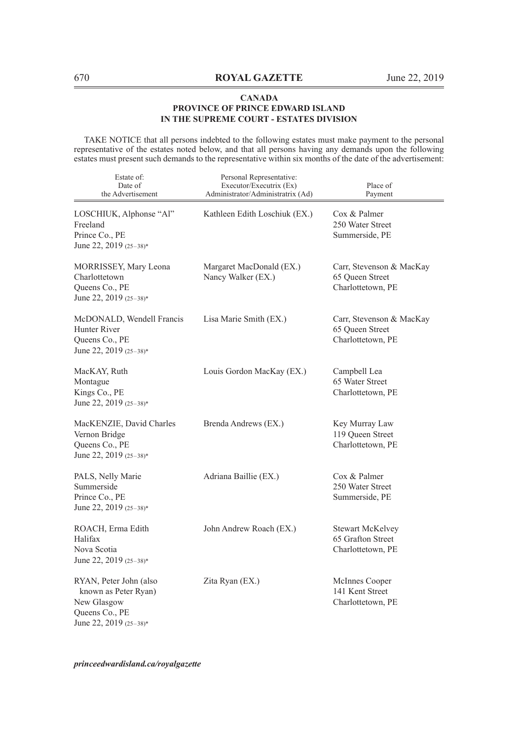TAKE NOTICE that all persons indebted to the following estates must make payment to the personal representative of the estates noted below, and that all persons having any demands upon the following estates must present such demands to the representative within six months of the date of the advertisement:

| Estate of:<br>Date of<br>the Advertisement                                                                | Personal Representative:<br>Executor/Executrix (Ex)<br>Administrator/Administratrix (Ad) | Place of<br>Payment                                               |
|-----------------------------------------------------------------------------------------------------------|------------------------------------------------------------------------------------------|-------------------------------------------------------------------|
| LOSCHIUK, Alphonse "Al"<br>Freeland<br>Prince Co., PE<br>June 22, 2019 (25-38)*                           | Kathleen Edith Loschiuk (EX.)                                                            | Cox & Palmer<br>250 Water Street<br>Summerside, PE                |
| MORRISSEY, Mary Leona<br>Charlottetown<br>Queens Co., PE<br>June 22, 2019 (25-38)*                        | Margaret MacDonald (EX.)<br>Nancy Walker (EX.)                                           | Carr, Stevenson & MacKay<br>65 Queen Street<br>Charlottetown, PE  |
| McDONALD, Wendell Francis<br>Hunter River<br>Queens Co., PE<br>June 22, 2019 (25-38)*                     | Lisa Marie Smith (EX.)                                                                   | Carr, Stevenson & MacKay<br>65 Queen Street<br>Charlottetown, PE  |
| MacKAY, Ruth<br>Montague<br>Kings Co., PE<br>June 22, 2019 (25-38)*                                       | Louis Gordon MacKay (EX.)                                                                | Campbell Lea<br>65 Water Street<br>Charlottetown, PE              |
| MacKENZIE, David Charles<br>Vernon Bridge<br>Queens Co., PE<br>June 22, 2019 (25-38)*                     | Brenda Andrews (EX.)                                                                     | Key Murray Law<br>119 Queen Street<br>Charlottetown, PE           |
| PALS, Nelly Marie<br>Summerside<br>Prince Co., PE<br>June 22, 2019 $(25-38)*$                             | Adriana Baillie (EX.)                                                                    | Cox & Palmer<br>250 Water Street<br>Summerside, PE                |
| ROACH, Erma Edith<br>Halifax<br>Nova Scotia<br>June 22, 2019 (25-38)*                                     | John Andrew Roach (EX.)                                                                  | <b>Stewart McKelvey</b><br>65 Grafton Street<br>Charlottetown, PE |
| RYAN, Peter John (also<br>known as Peter Ryan)<br>New Glasgow<br>Queens Co., PE<br>June 22, 2019 (25-38)* | Zita Ryan (EX.)                                                                          | McInnes Cooper<br>141 Kent Street<br>Charlottetown, PE            |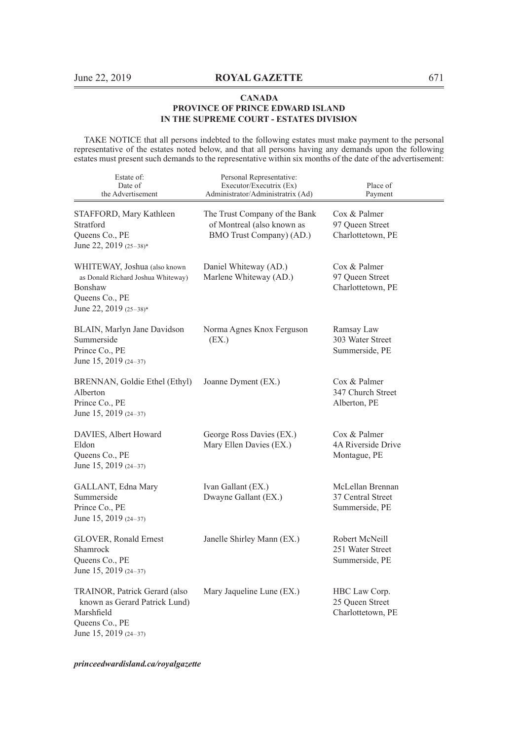TAKE NOTICE that all persons indebted to the following estates must make payment to the personal representative of the estates noted below, and that all persons having any demands upon the following estates must present such demands to the representative within six months of the date of the advertisement:

| Estate of:<br>Date of<br>the Advertisement                                                                                | Personal Representative:<br>Executor/Executrix (Ex)<br>Administrator/Administratrix (Ad) | Place of<br>Payment                                     |
|---------------------------------------------------------------------------------------------------------------------------|------------------------------------------------------------------------------------------|---------------------------------------------------------|
| STAFFORD, Mary Kathleen<br>Stratford<br>Queens Co., PE<br>June 22, 2019 (25-38)*                                          | The Trust Company of the Bank<br>of Montreal (also known as<br>BMO Trust Company) (AD.)  | Cox & Palmer<br>97 Queen Street<br>Charlottetown, PE    |
| WHITEWAY, Joshua (also known<br>as Donald Richard Joshua Whiteway)<br>Bonshaw<br>Queens Co., PE<br>June 22, 2019 (25-38)* | Daniel Whiteway (AD.)<br>Marlene Whiteway (AD.)                                          | Cox & Palmer<br>97 Oueen Street<br>Charlottetown, PE    |
| BLAIN, Marlyn Jane Davidson<br>Summerside<br>Prince Co., PE<br>June 15, 2019 (24-37)                                      | Norma Agnes Knox Ferguson<br>(EX.)                                                       | Ramsay Law<br>303 Water Street<br>Summerside, PE        |
| BRENNAN, Goldie Ethel (Ethyl)<br>Alberton<br>Prince Co., PE<br>June 15, 2019 (24-37)                                      | Joanne Dyment (EX.)                                                                      | Cox & Palmer<br>347 Church Street<br>Alberton, PE       |
| DAVIES, Albert Howard<br>Eldon<br>Queens Co., PE<br>June 15, 2019 (24-37)                                                 | George Ross Davies (EX.)<br>Mary Ellen Davies (EX.)                                      | Cox & Palmer<br>4A Riverside Drive<br>Montague, PE      |
| GALLANT, Edna Mary<br>Summerside<br>Prince Co., PE<br>June 15, 2019 (24-37)                                               | Ivan Gallant (EX.)<br>Dwayne Gallant (EX.)                                               | McLellan Brennan<br>37 Central Street<br>Summerside, PE |
| <b>GLOVER, Ronald Ernest</b><br>Shamrock<br>Queens Co., PE<br>June 15, 2019 (24-37)                                       | Janelle Shirley Mann (EX.)                                                               | Robert McNeill<br>251 Water Street<br>Summerside, PE    |
| TRAINOR, Patrick Gerard (also<br>known as Gerard Patrick Lund)<br>Marshfield<br>Queens Co., PE<br>June 15, 2019 (24-37)   | Mary Jaqueline Lune (EX.)                                                                | HBC Law Corp.<br>25 Oueen Street<br>Charlottetown, PE   |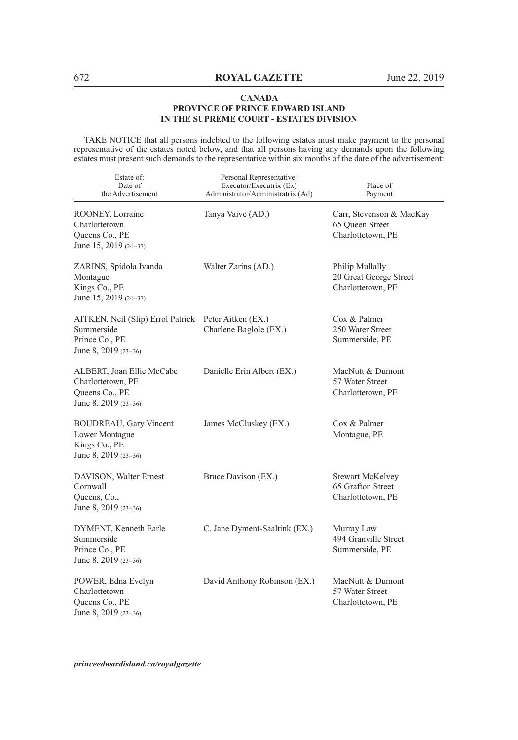TAKE NOTICE that all persons indebted to the following estates must make payment to the personal representative of the estates noted below, and that all persons having any demands upon the following estates must present such demands to the representative within six months of the date of the advertisement:

| Estate of:<br>Date of<br>the Advertisement                                                | Personal Representative:<br>Executor/Executrix (Ex)<br>Administrator/Administratrix (Ad) | Place of<br>Payment                                              |
|-------------------------------------------------------------------------------------------|------------------------------------------------------------------------------------------|------------------------------------------------------------------|
| ROONEY, Lorraine<br>Charlottetown<br>Queens Co., PE<br>June 15, 2019 (24-37)              | Tanya Vaive (AD.)                                                                        | Carr, Stevenson & MacKay<br>65 Queen Street<br>Charlottetown, PE |
| ZARINS, Spidola Ivanda<br>Montague<br>Kings Co., PE<br>June 15, 2019 (24-37)              | Walter Zarins (AD.)                                                                      | Philip Mullally<br>20 Great George Street<br>Charlottetown, PE   |
| AITKEN, Neil (Slip) Errol Patrick<br>Summerside<br>Prince Co., PE<br>June 8, 2019 (23-36) | Peter Aitken (EX.)<br>Charlene Baglole (EX.)                                             | Cox & Palmer<br>250 Water Street<br>Summerside, PE               |
| ALBERT, Joan Ellie McCabe<br>Charlottetown, PE<br>Queens Co., PE<br>June 8, 2019 (23-36)  | Danielle Erin Albert (EX.)                                                               | MacNutt & Dumont<br>57 Water Street<br>Charlottetown, PE         |
| <b>BOUDREAU, Gary Vincent</b><br>Lower Montague<br>Kings Co., PE<br>June 8, 2019 (23-36)  | James McCluskey (EX.)                                                                    | Cox & Palmer<br>Montague, PE                                     |
| DAVISON, Walter Ernest<br>Cornwall<br>Queens, Co.,<br>June 8, 2019 (23-36)                | Bruce Davison (EX.)                                                                      | Stewart McKelvey<br>65 Grafton Street<br>Charlottetown, PE       |
| DYMENT, Kenneth Earle<br>Summerside<br>Prince Co., PE<br>June 8, 2019 (23-36)             | C. Jane Dyment-Saaltink (EX.)                                                            | Murray Law<br>494 Granville Street<br>Summerside, PE             |
| POWER, Edna Evelyn<br>Charlottetown<br>Queens Co., PE<br>June 8, 2019 (23-36)             | David Anthony Robinson (EX.)                                                             | MacNutt & Dumont<br>57 Water Street<br>Charlottetown, PE         |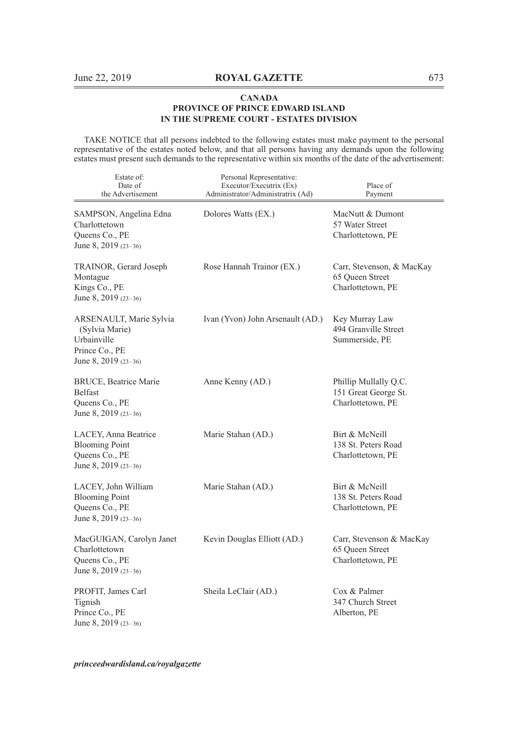TAKE NOTICE that all persons indebted to the following estates must make payment to the personal representative of the estates noted below, and that all persons having any demands upon the following estates must present such demands to the representative within six months of the date of the advertisement:

| Estate of:<br>Date of<br>the Advertisement                                                         | Personal Representative:<br>Executor/Executrix (Ex)<br>Administrator/Administratrix (Ad) | Place of<br>Payment                                                |
|----------------------------------------------------------------------------------------------------|------------------------------------------------------------------------------------------|--------------------------------------------------------------------|
| SAMPSON, Angelina Edna<br>Charlottetown<br>Queens Co., PE<br>June 8, 2019 (23-36)                  | Dolores Watts (EX.)                                                                      | MacNutt & Dumont<br>57 Water Street<br>Charlottetown, PE           |
| TRAINOR, Gerard Joseph<br>Montague<br>Kings Co., PE<br>June 8, 2019 (23-36)                        | Rose Hannah Trainor (EX.)                                                                | Carr, Stevenson, & MacKay<br>65 Queen Street<br>Charlottetown, PE  |
| ARSENAULT, Marie Sylvia<br>(Sylvia Marie)<br>Urbainville<br>Prince Co., PE<br>June 8, 2019 (23-36) | Ivan (Yvon) John Arsenault (AD.)                                                         | Key Murray Law<br>494 Granville Street<br>Summerside, PE           |
| BRUCE, Beatrice Marie<br>Belfast<br>Queens Co., PE<br>June 8, 2019 (23-36)                         | Anne Kenny (AD.)                                                                         | Phillip Mullally Q.C.<br>151 Great George St.<br>Charlottetown, PE |
| LACEY, Anna Beatrice<br><b>Blooming Point</b><br>Queens Co., PE<br>June 8, 2019 (23-36)            | Marie Stahan (AD.)                                                                       | Birt & McNeill<br>138 St. Peters Road<br>Charlottetown, PE         |
| LACEY, John William<br><b>Blooming Point</b><br>Queens Co., PE<br>June 8, 2019 (23-36)             | Marie Stahan (AD.)                                                                       | Birt & McNeill<br>138 St. Peters Road<br>Charlottetown, PE         |
| MacGUIGAN, Carolyn Janet<br>Charlottetown<br>Queens Co., PE<br>June 8, 2019 $(23-36)$              | Kevin Douglas Elliott (AD.)                                                              | Carr, Stevenson & MacKay<br>65 Queen Street<br>Charlottetown, PE   |
| PROFIT, James Carl<br>Tignish<br>Prince Co., PE<br>June 8, 2019 (23-36)                            | Sheila LeClair (AD.)                                                                     | Cox & Palmer<br>347 Church Street<br>Alberton, PE                  |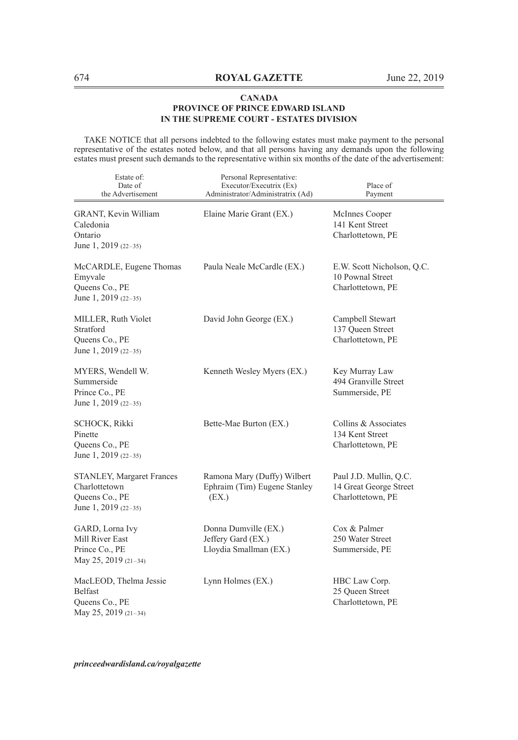TAKE NOTICE that all persons indebted to the following estates must make payment to the personal representative of the estates noted below, and that all persons having any demands upon the following estates must present such demands to the representative within six months of the date of the advertisement:

| Estate of:<br>Date of<br>the Advertisement                                           | Personal Representative:<br>Executor/Executrix (Ex)<br>Administrator/Administratrix (Ad) | Place of<br>Payment                                                   |
|--------------------------------------------------------------------------------------|------------------------------------------------------------------------------------------|-----------------------------------------------------------------------|
| GRANT, Kevin William<br>Caledonia<br>Ontario<br>June 1, 2019 (22-35)                 | Elaine Marie Grant (EX.)                                                                 | McInnes Cooper<br>141 Kent Street<br>Charlottetown, PE                |
| McCARDLE, Eugene Thomas<br>Emyvale<br>Queens Co., PE<br>June 1, 2019 (22-35)         | Paula Neale McCardle (EX.)                                                               | E.W. Scott Nicholson, Q.C.<br>10 Pownal Street<br>Charlottetown, PE   |
| MILLER, Ruth Violet<br>Stratford<br>Queens Co., PE<br>June 1, 2019 (22-35)           | David John George (EX.)                                                                  | Campbell Stewart<br>137 Queen Street<br>Charlottetown, PE             |
| MYERS, Wendell W.<br>Summerside<br>Prince Co., PE<br>June 1, 2019 (22-35)            | Kenneth Wesley Myers (EX.)                                                               | Key Murray Law<br>494 Granville Street<br>Summerside, PE              |
| <b>SCHOCK, Rikki</b><br>Pinette<br>Queens Co., PE<br>June 1, 2019 (22-35)            | Bette-Mae Burton (EX.)                                                                   | Collins & Associates<br>134 Kent Street<br>Charlottetown, PE          |
| STANLEY, Margaret Frances<br>Charlottetown<br>Queens Co., PE<br>June 1, 2019 (22-35) | Ramona Mary (Duffy) Wilbert<br>Ephraim (Tim) Eugene Stanley<br>(EX.)                     | Paul J.D. Mullin, Q.C.<br>14 Great George Street<br>Charlottetown, PE |
| GARD, Lorna Ivy<br>Mill River East<br>Prince Co., PE<br>May 25, 2019 (21-34)         | Donna Dumville (EX.)<br>Jeffery Gard (EX.)<br>Lloydia Smallman (EX.)                     | Cox & Palmer<br>250 Water Street<br>Summerside, PE                    |
| MacLEOD, Thelma Jessie<br><b>Belfast</b><br>Queens Co., PE<br>May 25, 2019 (21-34)   | Lynn Holmes (EX.)                                                                        | HBC Law Corp.<br>25 Queen Street<br>Charlottetown, PE                 |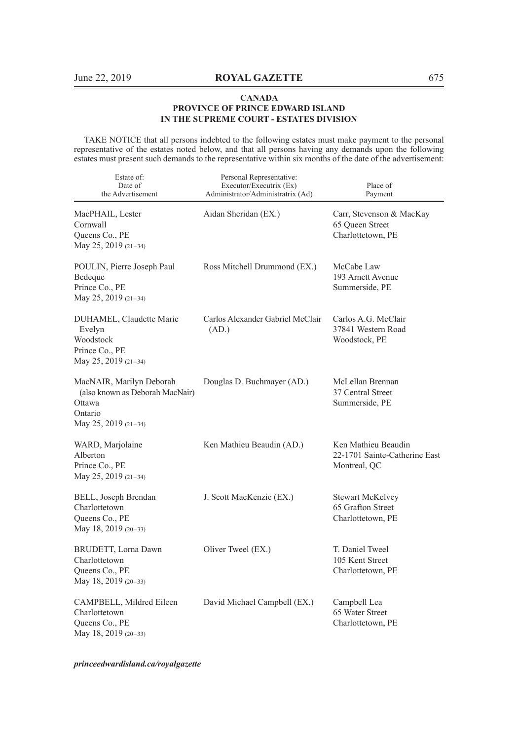TAKE NOTICE that all persons indebted to the following estates must make payment to the personal representative of the estates noted below, and that all persons having any demands upon the following estates must present such demands to the representative within six months of the date of the advertisement:

| Estate of:<br>Date of<br>the Advertisement                                                               | Personal Representative:<br>Executor/Executrix (Ex)<br>Administrator/Administratrix (Ad) | Place of<br>Payment                                                  |
|----------------------------------------------------------------------------------------------------------|------------------------------------------------------------------------------------------|----------------------------------------------------------------------|
| MacPHAIL, Lester<br>Cornwall<br>Queens Co., PE<br>May 25, 2019 (21-34)                                   | Aidan Sheridan (EX.)                                                                     | Carr, Stevenson & MacKay<br>65 Oueen Street<br>Charlottetown, PE     |
| POULIN, Pierre Joseph Paul<br>Bedeque<br>Prince Co., PE<br>May 25, 2019 (21-34)                          | Ross Mitchell Drummond (EX.)                                                             | McCabe Law<br>193 Arnett Avenue<br>Summerside, PE                    |
| DUHAMEL, Claudette Marie<br>Evelyn<br>Woodstock<br>Prince Co., PE<br>May 25, 2019 (21-34)                | Carlos Alexander Gabriel McClair<br>(AD.)                                                | Carlos A.G. McClair<br>37841 Western Road<br>Woodstock, PE           |
| MacNAIR, Marilyn Deborah<br>(also known as Deborah MacNair)<br>Ottawa<br>Ontario<br>May 25, 2019 (21-34) | Douglas D. Buchmayer (AD.)                                                               | McLellan Brennan<br>37 Central Street<br>Summerside, PE              |
| WARD, Marjolaine<br>Alberton<br>Prince Co., PE<br>May 25, 2019 (21-34)                                   | Ken Mathieu Beaudin (AD.)                                                                | Ken Mathieu Beaudin<br>22-1701 Sainte-Catherine East<br>Montreal, QC |
| BELL, Joseph Brendan<br>Charlottetown<br>Queens Co., PE<br>May 18, 2019 (20-33)                          | J. Scott MacKenzie (EX.)                                                                 | <b>Stewart McKelvey</b><br>65 Grafton Street<br>Charlottetown, PE    |
| BRUDETT, Lorna Dawn<br>Charlottetown<br>Queens Co., PE<br>May 18, 2019 (20-33)                           | Oliver Tweel (EX.)                                                                       | T. Daniel Tweel<br>105 Kent Street<br>Charlottetown, PE              |
| CAMPBELL, Mildred Eileen<br>Charlottetown<br>Queens Co., PE<br>May 18, 2019 (20-33)                      | David Michael Campbell (EX.)                                                             | Campbell Lea<br>65 Water Street<br>Charlottetown, PE                 |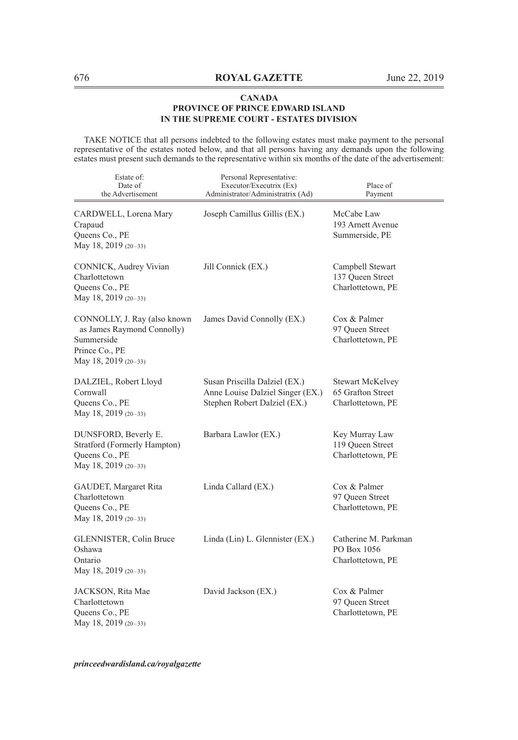TAKE NOTICE that all persons indebted to the following estates must make payment to the personal representative of the estates noted below, and that all persons having any demands upon the following estates must present such demands to the representative within six months of the date of the advertisement:

| Estate of:<br>Date of<br>the Advertisement                                                                         | Personal Representative:<br>Executor/Executrix (Ex)<br>Administrator/Administratrix (Ad)          | Place of<br>Payment                                               |
|--------------------------------------------------------------------------------------------------------------------|---------------------------------------------------------------------------------------------------|-------------------------------------------------------------------|
| CARDWELL, Lorena Mary<br>Crapaud<br>Queens Co., PE<br>May 18, 2019 (20-33)                                         | Joseph Camillus Gillis (EX.)                                                                      | McCabe Law<br>193 Arnett Avenue<br>Summerside, PE                 |
| CONNICK, Audrey Vivian<br>Charlottetown<br>Queens Co., PE<br>May 18, 2019 (20-33)                                  | Jill Connick (EX.)                                                                                | Campbell Stewart<br>137 Queen Street<br>Charlottetown, PE         |
| CONNOLLY, J. Ray (also known<br>as James Raymond Connolly)<br>Summerside<br>Prince Co., PE<br>May 18, 2019 (20-33) | James David Connolly (EX.)                                                                        | Cox & Palmer<br>97 Queen Street<br>Charlottetown, PE              |
| DALZIEL, Robert Lloyd<br>Cornwall<br>Queens Co., PE<br>May 18, 2019 (20-33)                                        | Susan Priscilla Dalziel (EX.)<br>Anne Louise Dalziel Singer (EX.)<br>Stephen Robert Dalziel (EX.) | <b>Stewart McKelvey</b><br>65 Grafton Street<br>Charlottetown, PE |
| DUNSFORD, Beverly E.<br>Stratford (Formerly Hampton)<br>Queens Co., PE<br>May 18, 2019 (20-33)                     | Barbara Lawlor (EX.)                                                                              | Key Murray Law<br>119 Queen Street<br>Charlottetown, PE           |
| GAUDET, Margaret Rita<br>Charlottetown<br>Queens Co., PE<br>May 18, 2019 (20-33)                                   | Linda Callard (EX.)                                                                               | Cox & Palmer<br>97 Queen Street<br>Charlottetown, PE              |
| GLENNISTER, Colin Bruce<br>Oshawa<br>Ontario<br>May 18, 2019 (20-33)                                               | Linda (Lin) L. Glennister (EX.)                                                                   | Catherine M. Parkman<br>PO Box 1056<br>Charlottetown, PE          |
| JACKSON, Rita Mae<br>Charlottetown<br>Queens Co., PE<br>May 18, 2019 (20-33)                                       | David Jackson (EX.)                                                                               | Cox & Palmer<br>97 Queen Street<br>Charlottetown, PE              |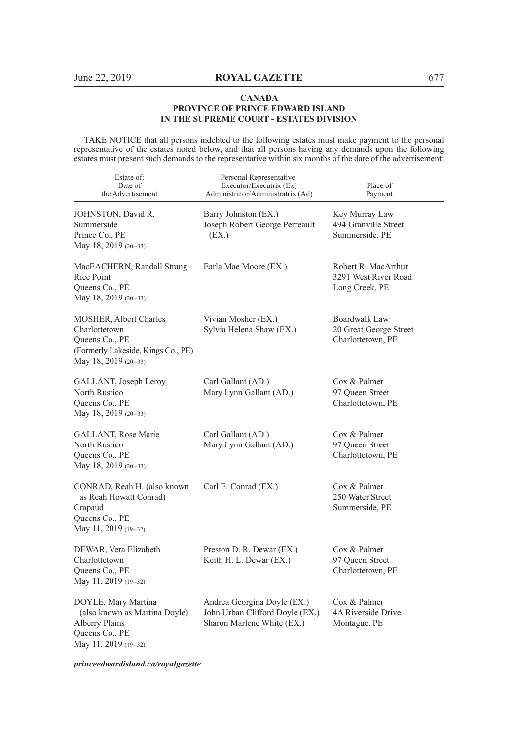TAKE NOTICE that all persons indebted to the following estates must make payment to the personal representative of the estates noted below, and that all persons having any demands upon the following estates must present such demands to the representative within six months of the date of the advertisement:

| Estate of:<br>Date of<br>the Advertisement                                                                              | Personal Representative:<br>Executor/Executrix (Ex)<br>Administrator/Administratrix (Ad)     | Place of<br>Payment                                                 |
|-------------------------------------------------------------------------------------------------------------------------|----------------------------------------------------------------------------------------------|---------------------------------------------------------------------|
| JOHNSTON, David R.<br>Summerside<br>Prince Co., PE<br>May 18, 2019 (20-33)                                              | Barry Johnston (EX.)<br>Joseph Robert George Perreault<br>(EX.)                              | Key Murray Law<br>494 Granville Street<br>Summerside, PE            |
| MacEACHERN, Randall Strang<br>Rice Point<br>Queens Co., PE<br>May 18, 2019 (20-33)                                      | Earla Mae Moore (EX.)                                                                        | Robert R. MacArthur<br>3291 West River Road<br>Long Creek, PE       |
| MOSHER, Albert Charles<br>Charlottetown<br>Queens Co., PE<br>(Formerly Lakeside, Kings Co., PE)<br>May 18, 2019 (20-33) | Vivian Mosher (EX.)<br>Sylvia Helena Shaw (EX.)                                              | <b>Boardwalk Law</b><br>20 Great George Street<br>Charlottetown, PE |
| GALLANT, Joseph Leroy<br>North Rustico<br>Queens Co., PE<br>May 18, 2019 (20-33)                                        | Carl Gallant (AD.)<br>Mary Lynn Gallant (AD.)                                                | Cox & Palmer<br>97 Queen Street<br>Charlottetown, PE                |
| GALLANT, Rose Marie<br>North Rustico<br>Queens Co., PE<br>May 18, 2019 (20-33)                                          | Carl Gallant (AD.)<br>Mary Lynn Gallant (AD.)                                                | Cox & Palmer<br>97 Oueen Street<br>Charlottetown, PE                |
| CONRAD, Reah H. (also known<br>as Reah Howatt Conrad)<br>Crapaud<br>Queens Co., PE<br>May 11, 2019 (19-32)              | Carl E. Conrad (EX.)                                                                         | Cox & Palmer<br>250 Water Street<br>Summerside, PE                  |
| DEWAR, Vera Elizabeth<br>Charlottetown<br>Queens Co., PE<br>May 11, 2019 (19-32)                                        | Preston D. R. Dewar (EX.)<br>Keith H. L. Dewar (EX.)                                         | Cox & Palmer<br>97 Queen Street<br>Charlottetown, PE                |
| DOYLE, Mary Martina<br>(also known as Martina Doyle)<br>Alberry Plains<br>Queens Co., PE<br>May 11, 2019 (19-32)        | Andrea Georgina Doyle (EX.)<br>John Urban Clifford Doyle (EX.)<br>Sharon Marlene White (EX.) | Cox & Palmer<br>4A Riverside Drive<br>Montague, PE                  |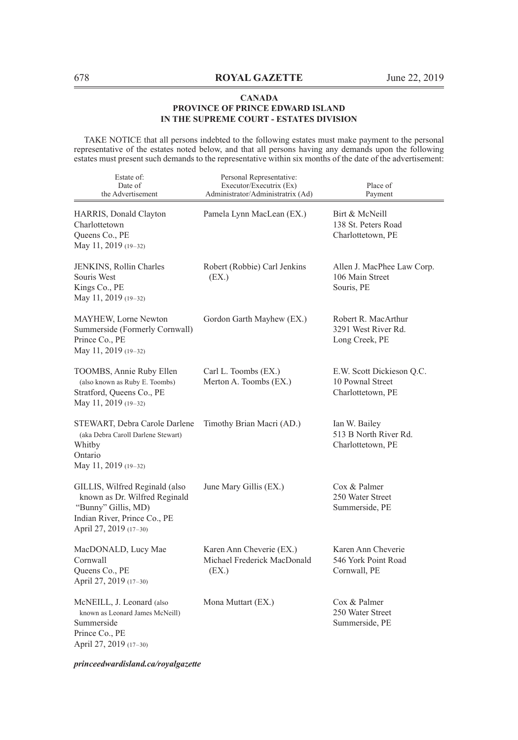TAKE NOTICE that all persons indebted to the following estates must make payment to the personal representative of the estates noted below, and that all persons having any demands upon the following estates must present such demands to the representative within six months of the date of the advertisement:

| Estate of:<br>Date of<br>the Advertisement                                                                                                       | Personal Representative:<br>Executor/Executrix (Ex)<br>Administrator/Administratrix (Ad) | Place of<br>Payment                                                |
|--------------------------------------------------------------------------------------------------------------------------------------------------|------------------------------------------------------------------------------------------|--------------------------------------------------------------------|
| HARRIS, Donald Clayton<br>Charlottetown<br>Queens Co., PE<br>May 11, 2019 (19-32)                                                                | Pamela Lynn MacLean (EX.)                                                                | Birt & McNeill<br>138 St. Peters Road<br>Charlottetown, PE         |
| JENKINS, Rollin Charles<br>Souris West<br>Kings Co., PE<br>May 11, 2019 (19-32)                                                                  | Robert (Robbie) Carl Jenkins<br>(EX.)                                                    | Allen J. MacPhee Law Corp.<br>106 Main Street<br>Souris, PE        |
| MAYHEW, Lorne Newton<br>Summerside (Formerly Cornwall)<br>Prince Co., PE<br>May 11, 2019 (19-32)                                                 | Gordon Garth Mayhew (EX.)                                                                | Robert R. MacArthur<br>3291 West River Rd.<br>Long Creek, PE       |
| TOOMBS, Annie Ruby Ellen<br>(also known as Ruby E. Toombs)<br>Stratford, Queens Co., PE<br>May 11, 2019 (19-32)                                  | Carl L. Toombs (EX.)<br>Merton A. Toombs (EX.)                                           | E.W. Scott Dickieson Q.C.<br>10 Pownal Street<br>Charlottetown, PE |
| STEWART, Debra Carole Darlene<br>(aka Debra Caroll Darlene Stewart)<br>Whitby<br>Ontario<br>May 11, 2019 (19-32)                                 | Timothy Brian Macri (AD.)                                                                | Ian W. Bailey<br>513 B North River Rd.<br>Charlottetown, PE        |
| GILLIS, Wilfred Reginald (also<br>known as Dr. Wilfred Reginald<br>"Bunny" Gillis, MD)<br>Indian River, Prince Co., PE<br>April 27, 2019 (17-30) | June Mary Gillis (EX.)                                                                   | Cox & Palmer<br>250 Water Street<br>Summerside, PE                 |
| MacDONALD, Lucy Mae<br>Cornwall<br>Queens Co., PE<br>April 27, 2019 (17-30)                                                                      | Karen Ann Cheverie (EX.)<br>Michael Frederick MacDonald<br>(EX.)                         | Karen Ann Cheverie<br>546 York Point Road<br>Cornwall, PE          |
| McNEILL, J. Leonard (also<br>known as Leonard James McNeill)<br>Summerside<br>Prince Co., PE<br>April 27, 2019 (17-30)                           | Mona Muttart (EX.)                                                                       | Cox & Palmer<br>250 Water Street<br>Summerside, PE                 |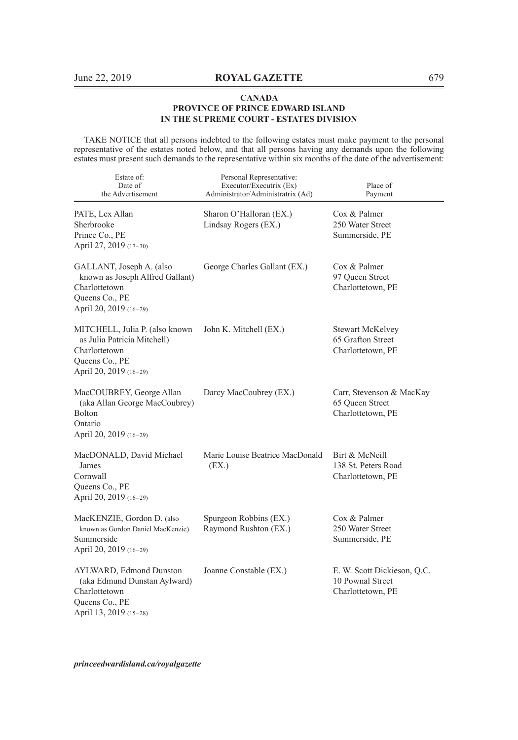TAKE NOTICE that all persons indebted to the following estates must make payment to the personal representative of the estates noted below, and that all persons having any demands upon the following estates must present such demands to the representative within six months of the date of the advertisement:

| Estate of:<br>Date of<br>the Advertisement                                                                                 | Personal Representative:<br>Executor/Executrix (Ex)<br>Administrator/Administratrix (Ad) | Place of<br>Payment                                                  |
|----------------------------------------------------------------------------------------------------------------------------|------------------------------------------------------------------------------------------|----------------------------------------------------------------------|
| PATE, Lex Allan<br>Sherbrooke<br>Prince Co., PE<br>April 27, 2019 (17-30)                                                  | Sharon O'Halloran (EX.)<br>Lindsay Rogers (EX.)                                          | Cox & Palmer<br>250 Water Street<br>Summerside, PE                   |
| GALLANT, Joseph A. (also<br>known as Joseph Alfred Gallant)<br>Charlottetown<br>Queens Co., PE<br>April 20, 2019 (16-29)   | George Charles Gallant (EX.)                                                             | Cox & Palmer<br>97 Queen Street<br>Charlottetown, PE                 |
| MITCHELL, Julia P. (also known<br>as Julia Patricia Mitchell)<br>Charlottetown<br>Queens Co., PE<br>April 20, 2019 (16-29) | John K. Mitchell (EX.)                                                                   | <b>Stewart McKelvey</b><br>65 Grafton Street<br>Charlottetown, PE    |
| MacCOUBREY, George Allan<br>(aka Allan George MacCoubrey)<br>Bolton<br>Ontario<br>April 20, 2019 (16-29)                   | Darcy MacCoubrey (EX.)                                                                   | Carr, Stevenson & MacKay<br>65 Queen Street<br>Charlottetown, PE     |
| MacDONALD, David Michael<br>James<br>Cornwall<br>Queens Co., PE<br>April 20, 2019 (16-29)                                  | Marie Louise Beatrice MacDonald<br>(EX.)                                                 | Birt & McNeill<br>138 St. Peters Road<br>Charlottetown, PE           |
| MacKENZIE, Gordon D. (also<br>known as Gordon Daniel MacKenzie)<br>Summerside<br>April 20, 2019 (16-29)                    | Spurgeon Robbins (EX.)<br>Raymond Rushton (EX.)                                          | Cox & Palmer<br>250 Water Street<br>Summerside, PE                   |
| AYLWARD, Edmond Dunston<br>(aka Edmund Dunstan Aylward)<br>Charlottetown<br>Queens Co., PE<br>April 13, 2019 (15-28)       | Joanne Constable (EX.)                                                                   | E. W. Scott Dickieson, Q.C.<br>10 Pownal Street<br>Charlottetown, PE |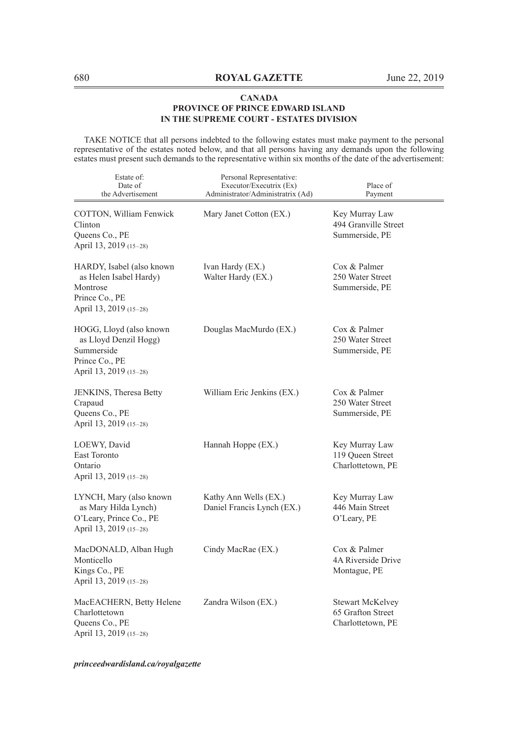TAKE NOTICE that all persons indebted to the following estates must make payment to the personal representative of the estates noted below, and that all persons having any demands upon the following estates must present such demands to the representative within six months of the date of the advertisement:

| Estate of:<br>Date of<br>the Advertisement                                                                  | Personal Representative:<br>Executor/Executrix (Ex)<br>Administrator/Administratrix (Ad) | Place of<br>Payment                                               |
|-------------------------------------------------------------------------------------------------------------|------------------------------------------------------------------------------------------|-------------------------------------------------------------------|
| COTTON, William Fenwick<br>Clinton<br>Queens Co., PE<br>April 13, 2019 (15-28)                              | Mary Janet Cotton (EX.)                                                                  | Key Murray Law<br>494 Granville Street<br>Summerside, PE          |
| HARDY, Isabel (also known<br>as Helen Isabel Hardy)<br>Montrose<br>Prince Co., PE<br>April 13, 2019 (15-28) | Ivan Hardy (EX.)<br>Walter Hardy (EX.)                                                   | Cox & Palmer<br>250 Water Street<br>Summerside, PE                |
| HOGG, Lloyd (also known<br>as Lloyd Denzil Hogg)<br>Summerside<br>Prince Co., PE<br>April 13, 2019 (15-28)  | Douglas MacMurdo (EX.)                                                                   | Cox & Palmer<br>250 Water Street<br>Summerside, PE                |
| JENKINS, Theresa Betty<br>Crapaud<br>Queens Co., PE<br>April 13, 2019 (15-28)                               | William Eric Jenkins (EX.)                                                               | Cox & Palmer<br>250 Water Street<br>Summerside, PE                |
| LOEWY, David<br><b>East Toronto</b><br>Ontario<br>April 13, 2019 (15-28)                                    | Hannah Hoppe (EX.)                                                                       | Key Murray Law<br>119 Oueen Street<br>Charlottetown, PE           |
| LYNCH, Mary (also known<br>as Mary Hilda Lynch)<br>O'Leary, Prince Co., PE<br>April 13, 2019 (15-28)        | Kathy Ann Wells (EX.)<br>Daniel Francis Lynch (EX.)                                      | Key Murray Law<br>446 Main Street<br>O'Leary, PE                  |
| MacDONALD, Alban Hugh<br>Monticello<br>Kings Co., PE<br>April 13, 2019 (15-28)                              | Cindy MacRae (EX.)                                                                       | Cox & Palmer<br>4A Riverside Drive<br>Montague, PE                |
| MacEACHERN, Betty Helene<br>Charlottetown<br>Queens Co., PE<br>April 13, 2019 (15-28)                       | Zandra Wilson (EX.)                                                                      | <b>Stewart McKelvey</b><br>65 Grafton Street<br>Charlottetown, PE |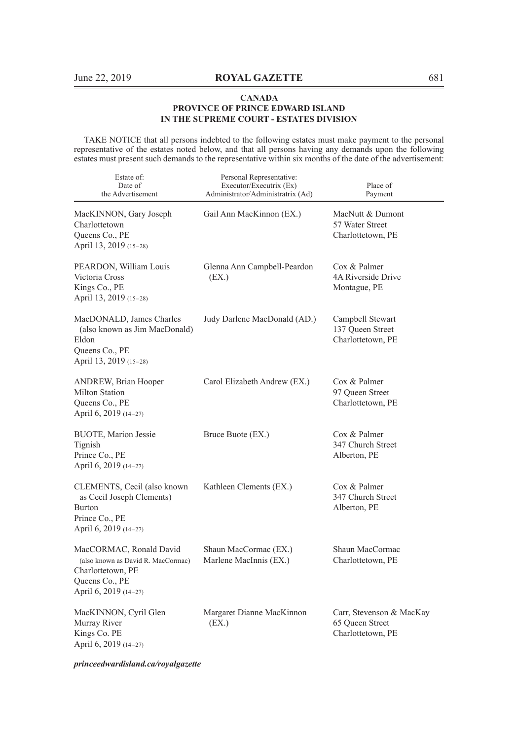TAKE NOTICE that all persons indebted to the following estates must make payment to the personal representative of the estates noted below, and that all persons having any demands upon the following estates must present such demands to the representative within six months of the date of the advertisement:

| Estate of:<br>Date of<br>the Advertisement                                                                                    | Personal Representative:<br>Executor/Executrix (Ex)<br>Administrator/Administratrix (Ad) | Place of<br>Payment                                              |
|-------------------------------------------------------------------------------------------------------------------------------|------------------------------------------------------------------------------------------|------------------------------------------------------------------|
| MacKINNON, Gary Joseph<br>Charlottetown<br>Queens Co., PE<br>April 13, 2019 (15-28)                                           | Gail Ann MacKinnon (EX.)                                                                 | MacNutt & Dumont<br>57 Water Street<br>Charlottetown, PE         |
| PEARDON, William Louis<br>Victoria Cross<br>Kings Co., PE<br>April 13, 2019 (15-28)                                           | Glenna Ann Campbell-Peardon<br>(EX.)                                                     | Cox & Palmer<br>4A Riverside Drive<br>Montague, PE               |
| MacDONALD, James Charles<br>(also known as Jim MacDonald)<br>Eldon<br>Queens Co., PE<br>April 13, 2019 (15-28)                | Judy Darlene MacDonald (AD.)                                                             | Campbell Stewart<br>137 Queen Street<br>Charlottetown, PE        |
| ANDREW, Brian Hooper<br><b>Milton Station</b><br>Queens Co., PE<br>April 6, 2019 (14–27)                                      | Carol Elizabeth Andrew (EX.)                                                             | Cox & Palmer<br>97 Queen Street<br>Charlottetown, PE             |
| <b>BUOTE, Marion Jessie</b><br>Tignish<br>Prince Co., PE<br>April 6, 2019 (14-27)                                             | Bruce Buote (EX.)                                                                        | Cox & Palmer<br>347 Church Street<br>Alberton, PE                |
| CLEMENTS, Cecil (also known<br>as Cecil Joseph Clements)<br><b>Burton</b><br>Prince Co., PE<br>April 6, 2019 (14–27)          | Kathleen Clements (EX.)                                                                  | Cox & Palmer<br>347 Church Street<br>Alberton, PE                |
| MacCORMAC, Ronald David<br>(also known as David R. MacCormac)<br>Charlottetown, PE<br>Queens Co., PE<br>April 6, 2019 (14-27) | Shaun MacCormac (EX.)<br>Marlene MacInnis (EX.)                                          | Shaun MacCormac<br>Charlottetown, PE                             |
| MacKINNON, Cyril Glen<br>Murray River<br>Kings Co. PE<br>April 6, 2019 (14–27)                                                | Margaret Dianne MacKinnon<br>(EX.)                                                       | Carr, Stevenson & MacKay<br>65 Oueen Street<br>Charlottetown, PE |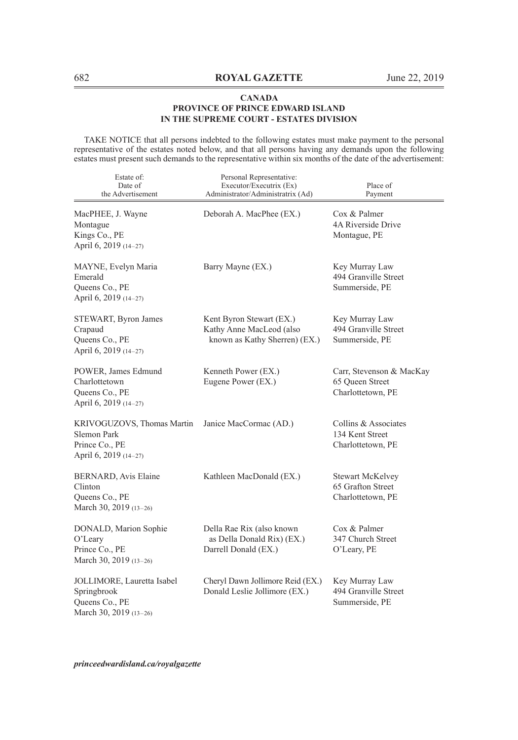TAKE NOTICE that all persons indebted to the following estates must make payment to the personal representative of the estates noted below, and that all persons having any demands upon the following estates must present such demands to the representative within six months of the date of the advertisement:

| Estate of:<br>Date of<br>the Advertisement                                            | Personal Representative:<br>Executor/Executrix (Ex)<br>Administrator/Administratrix (Ad) | Place of<br>Payment                                               |
|---------------------------------------------------------------------------------------|------------------------------------------------------------------------------------------|-------------------------------------------------------------------|
| MacPHEE, J. Wayne<br>Montague<br>Kings Co., PE<br>April 6, 2019 (14-27)               | Deborah A. MacPhee (EX.)                                                                 | Cox & Palmer<br>4A Riverside Drive<br>Montague, PE                |
| MAYNE, Evelyn Maria<br>Emerald<br>Queens Co., PE<br>April 6, 2019 (14-27)             | Barry Mayne (EX.)                                                                        | Key Murray Law<br>494 Granville Street<br>Summerside, PE          |
| STEWART, Byron James<br>Crapaud<br>Queens Co., PE<br>April 6, 2019 (14-27)            | Kent Byron Stewart (EX.)<br>Kathy Anne MacLeod (also<br>known as Kathy Sherren) (EX.)    | Key Murray Law<br>494 Granville Street<br>Summerside, PE          |
| POWER, James Edmund<br>Charlottetown<br>Queens Co., PE<br>April 6, 2019 (14-27)       | Kenneth Power (EX.)<br>Eugene Power (EX.)                                                | Carr, Stevenson & MacKay<br>65 Oueen Street<br>Charlottetown, PE  |
| KRIVOGUZOVS, Thomas Martin<br>Slemon Park<br>Prince Co., PE<br>April 6, 2019 (14-27)  | Janice MacCormac (AD.)                                                                   | Collins & Associates<br>134 Kent Street<br>Charlottetown, PE      |
| BERNARD, Avis Elaine<br>Clinton<br>Queens Co., PE<br>March 30, 2019 (13-26)           | Kathleen MacDonald (EX.)                                                                 | <b>Stewart McKelvey</b><br>65 Grafton Street<br>Charlottetown, PE |
| DONALD, Marion Sophie<br>O'Leary<br>Prince Co., PE<br>March 30, 2019 (13-26)          | Della Rae Rix (also known<br>as Della Donald Rix) (EX.)<br>Darrell Donald (EX.)          | Cox & Palmer<br>347 Church Street<br>O'Leary, PE                  |
| JOLLIMORE, Lauretta Isabel<br>Springbrook<br>Queens Co., PE<br>March 30, 2019 (13-26) | Cheryl Dawn Jollimore Reid (EX.)<br>Donald Leslie Jollimore (EX.)                        | Key Murray Law<br>494 Granville Street<br>Summerside, PE          |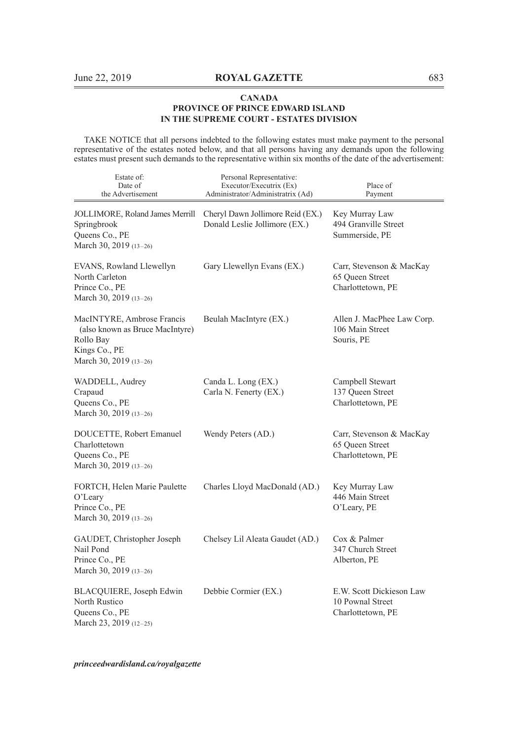TAKE NOTICE that all persons indebted to the following estates must make payment to the personal representative of the estates noted below, and that all persons having any demands upon the following estates must present such demands to the representative within six months of the date of the advertisement:

| Estate of:<br>Date of<br>the Advertisement                                                                            | Personal Representative:<br>Executor/Executrix (Ex)<br>Administrator/Administratrix (Ad) | Place of<br>Payment                                               |
|-----------------------------------------------------------------------------------------------------------------------|------------------------------------------------------------------------------------------|-------------------------------------------------------------------|
| JOLLIMORE, Roland James Merrill<br>Springbrook<br>Queens Co., PE<br>March 30, 2019 (13-26)                            | Cheryl Dawn Jollimore Reid (EX.)<br>Donald Leslie Jollimore (EX.)                        | Key Murray Law<br>494 Granville Street<br>Summerside, PE          |
| EVANS, Rowland Llewellyn<br>North Carleton<br>Prince Co., PE<br>March 30, 2019 (13-26)                                | Gary Llewellyn Evans (EX.)                                                               | Carr, Stevenson & MacKay<br>65 Queen Street<br>Charlottetown, PE  |
| MacINTYRE, Ambrose Francis<br>(also known as Bruce MacIntyre)<br>Rollo Bay<br>Kings Co., PE<br>March 30, 2019 (13-26) | Beulah MacIntyre (EX.)                                                                   | Allen J. MacPhee Law Corp.<br>106 Main Street<br>Souris, PE       |
| WADDELL, Audrey<br>Crapaud<br>Queens Co., PE<br>March 30, 2019 (13-26)                                                | Canda L. Long (EX.)<br>Carla N. Fenerty (EX.)                                            | Campbell Stewart<br>137 Queen Street<br>Charlottetown, PE         |
| DOUCETTE, Robert Emanuel<br>Charlottetown<br>Queens Co., PE<br>March 30, 2019 (13-26)                                 | Wendy Peters (AD.)                                                                       | Carr, Stevenson & MacKay<br>65 Queen Street<br>Charlottetown, PE  |
| FORTCH, Helen Marie Paulette<br>O'Leary<br>Prince Co., PE<br>March 30, 2019 (13-26)                                   | Charles Lloyd MacDonald (AD.)                                                            | Key Murray Law<br>446 Main Street<br>O'Leary, PE                  |
| GAUDET, Christopher Joseph<br>Nail Pond<br>Prince Co., PE<br>March 30, 2019 (13-26)                                   | Chelsey Lil Aleata Gaudet (AD.)                                                          | Cox & Palmer<br>347 Church Street<br>Alberton, PE                 |
| BLACQUIERE, Joseph Edwin<br>North Rustico<br>Queens Co., PE<br>March 23, 2019 (12-25)                                 | Debbie Cormier (EX.)                                                                     | E.W. Scott Dickieson Law<br>10 Pownal Street<br>Charlottetown, PE |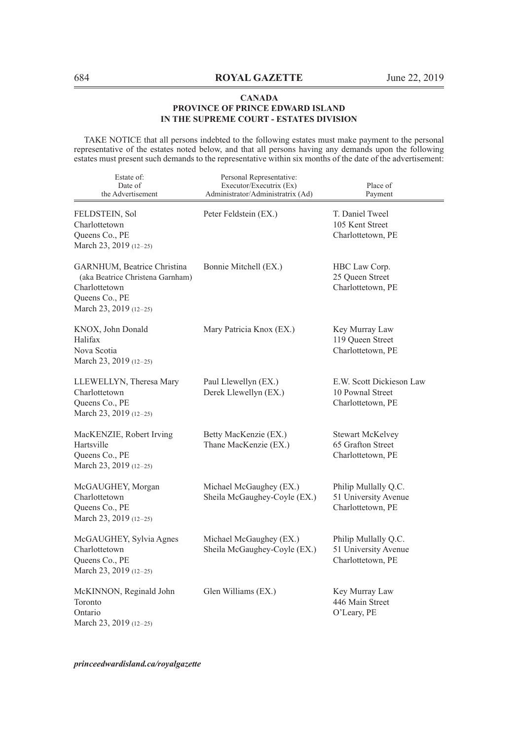TAKE NOTICE that all persons indebted to the following estates must make payment to the personal representative of the estates noted below, and that all persons having any demands upon the following estates must present such demands to the representative within six months of the date of the advertisement:

| Estate of:<br>Date of<br>the Advertisement                                                                                   | Personal Representative:<br>Executor/Executrix (Ex)<br>Administrator/Administratrix (Ad) | Place of<br>Payment                                               |
|------------------------------------------------------------------------------------------------------------------------------|------------------------------------------------------------------------------------------|-------------------------------------------------------------------|
| FELDSTEIN, Sol<br>Charlottetown<br>Queens Co., PE<br>March 23, 2019 (12-25)                                                  | Peter Feldstein (EX.)                                                                    | T. Daniel Tweel<br>105 Kent Street<br>Charlottetown, PE           |
| GARNHUM, Beatrice Christina<br>(aka Beatrice Christena Garnham)<br>Charlottetown<br>Queens Co., PE<br>March 23, 2019 (12-25) | Bonnie Mitchell (EX.)                                                                    | HBC Law Corp.<br>25 Queen Street<br>Charlottetown, PE             |
| KNOX, John Donald<br>Halifax<br>Nova Scotia<br>March 23, 2019 (12-25)                                                        | Mary Patricia Knox (EX.)                                                                 | Key Murray Law<br>119 Queen Street<br>Charlottetown, PE           |
| LLEWELLYN, Theresa Mary<br>Charlottetown<br>Queens Co., PE<br>March 23, 2019 (12-25)                                         | Paul Llewellyn (EX.)<br>Derek Llewellyn (EX.)                                            | E.W. Scott Dickieson Law<br>10 Pownal Street<br>Charlottetown, PE |
| MacKENZIE, Robert Irving<br>Hartsville<br>Queens Co., PE<br>March 23, 2019 (12-25)                                           | Betty MacKenzie (EX.)<br>Thane MacKenzie (EX.)                                           | <b>Stewart McKelvey</b><br>65 Grafton Street<br>Charlottetown, PE |
| McGAUGHEY, Morgan<br>Charlottetown<br>Queens Co., PE<br>March 23, 2019 (12-25)                                               | Michael McGaughey (EX.)<br>Sheila McGaughey-Coyle (EX.)                                  | Philip Mullally Q.C.<br>51 University Avenue<br>Charlottetown, PE |
| McGAUGHEY, Sylvia Agnes<br>Charlottetown<br>Queens Co., PE<br>March 23, 2019 (12-25)                                         | Michael McGaughey (EX.)<br>Sheila McGaughey-Coyle (EX.)                                  | Philip Mullally Q.C.<br>51 University Avenue<br>Charlottetown, PE |
| McKINNON, Reginald John<br>Toronto<br>Ontario<br>March 23, 2019 (12-25)                                                      | Glen Williams (EX.)                                                                      | Key Murray Law<br>446 Main Street<br>O'Leary, PE                  |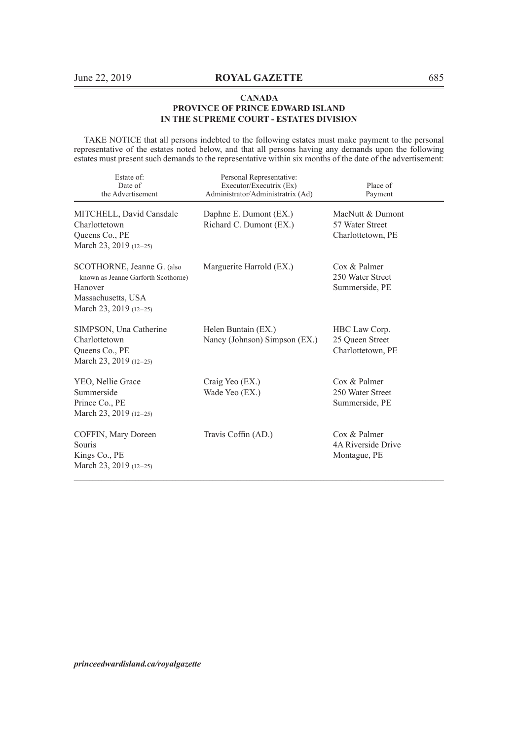TAKE NOTICE that all persons indebted to the following estates must make payment to the personal representative of the estates noted below, and that all persons having any demands upon the following estates must present such demands to the representative within six months of the date of the advertisement:

| Estate of:<br>Date of<br>the Advertisement                                                                                   | Personal Representative:<br>Executor/Executrix (Ex)<br>Administrator/Administratrix (Ad) | Place of<br>Payment                                      |
|------------------------------------------------------------------------------------------------------------------------------|------------------------------------------------------------------------------------------|----------------------------------------------------------|
| MITCHELL, David Cansdale<br>Charlottetown<br>Queens Co., PE<br>March 23, 2019 (12-25)                                        | Daphne E. Dumont (EX.)<br>Richard C. Dumont (EX.)                                        | MacNutt & Dumont<br>57 Water Street<br>Charlottetown, PE |
| SCOTHORNE, Jeanne G. (also<br>known as Jeanne Garforth Scothorne)<br>Hanover<br>Massachusetts, USA<br>March 23, 2019 (12-25) | Marguerite Harrold (EX.)                                                                 | Cox & Palmer<br>250 Water Street<br>Summerside, PE       |
| SIMPSON, Una Catherine<br>Charlottetown<br>Queens Co., PE<br>March 23, 2019 (12-25)                                          | Helen Buntain (EX.)<br>Nancy (Johnson) Simpson (EX.)                                     | HBC Law Corp.<br>25 Queen Street<br>Charlottetown, PE    |
| YEO, Nellie Grace<br>Summerside<br>Prince Co., PE<br>March 23, 2019 (12-25)                                                  | Craig Yeo (EX.)<br>Wade Yeo (EX.)                                                        | Cox & Palmer<br>250 Water Street<br>Summerside, PE       |
| COFFIN, Mary Doreen<br>Souris<br>Kings Co., PE<br>March 23, 2019 (12-25)                                                     | Travis Coffin (AD.)                                                                      | Cox & Palmer<br>4A Riverside Drive<br>Montague, PE       |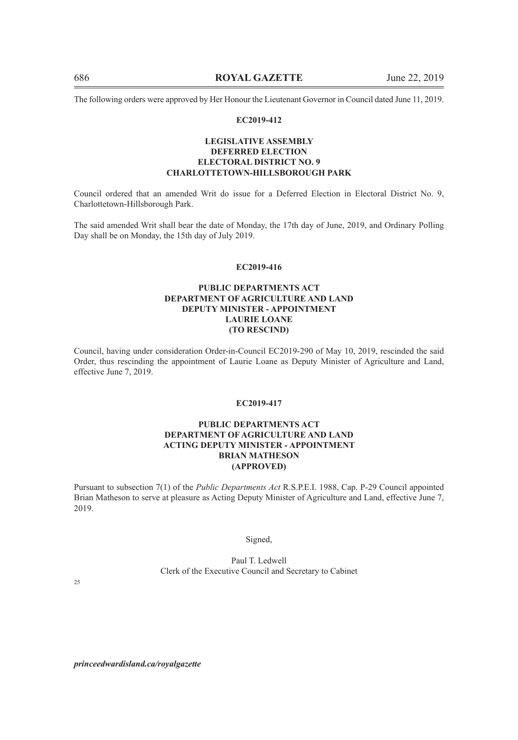The following orders were approved by Her Honour the Lieutenant Governor in Council dated June 11, 2019.

#### **EC2019-412**

## **LEGISLATIVE ASSEMBLY DEFERRED ELECTION ELECTORAL DISTRICT NO. 9 CHARLOTTETOWN-HILLSBOROUGH PARK**

Council ordered that an amended Writ do issue for a Deferred Election in Electoral District No. 9, Charlottetown-Hillsborough Park.

The said amended Writ shall bear the date of Monday, the 17th day of June, 2019, and Ordinary Polling Day shall be on Monday, the 15th day of July 2019.

## **EC2019-416**

## **PUBLIC DEPARTMENTS ACT DEPARTMENT OF AGRICULTURE AND LAND DEPUTY MINISTER - APPOINTMENT LAURIE LOANE (TO RESCIND)**

Council, having under consideration Order-in-Council EC2019-290 of May 10, 2019, rescinded the said Order, thus rescinding the appointment of Laurie Loane as Deputy Minister of Agriculture and Land, effective June 7, 2019.

## **EC2019-417**

## **PUBLIC DEPARTMENTS ACT DEPARTMENT OF AGRICULTURE AND LAND ACTING DEPUTY MINISTER - APPOINTMENT BRIAN MATHESON (APPROVED)**

Pursuant to subsection 7(1) of the *Public Departments Act* R.S.P.E.I. 1988, Cap. P-29 Council appointed Brian Matheson to serve at pleasure as Acting Deputy Minister of Agriculture and Land, effective June 7, 2019.

#### Signed,

Paul T. Ledwell Clerk of the Executive Council and Secretary to Cabinet

25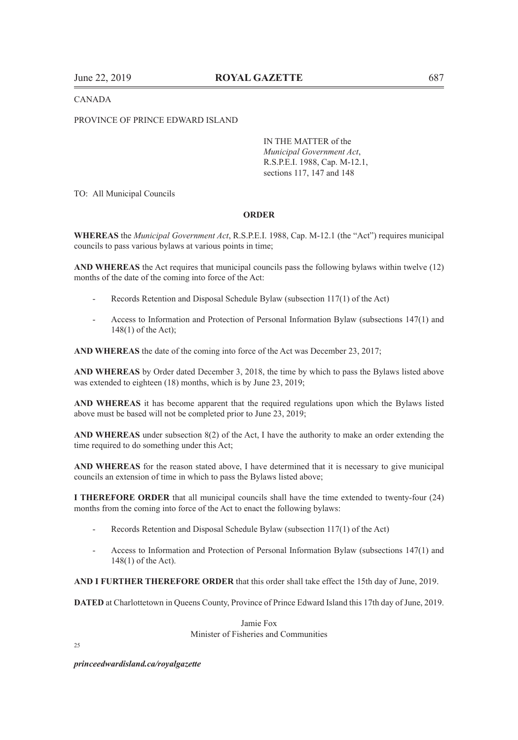### CANADA

#### PROVINCE OF PRINCE EDWARD ISLAND

IN THE MATTER of the *Municipal Government Act*, R.S.P.E.I. 1988, Cap. M-12.1, sections 117, 147 and 148

TO: All Municipal Councils

## **ORDER**

**WHEREAS** the *Municipal Government Act*, R.S.P.E.I. 1988, Cap. M-12.1 (the "Act") requires municipal councils to pass various bylaws at various points in time;

**AND WHEREAS** the Act requires that municipal councils pass the following bylaws within twelve (12) months of the date of the coming into force of the Act:

- Records Retention and Disposal Schedule Bylaw (subsection 117(1) of the Act)
- Access to Information and Protection of Personal Information Bylaw (subsections 147(1) and 148(1) of the Act);

**AND WHEREAS** the date of the coming into force of the Act was December 23, 2017;

**AND WHEREAS** by Order dated December 3, 2018, the time by which to pass the Bylaws listed above was extended to eighteen (18) months, which is by June 23, 2019;

**AND WHEREAS** it has become apparent that the required regulations upon which the Bylaws listed above must be based will not be completed prior to June 23, 2019;

**AND WHEREAS** under subsection 8(2) of the Act, I have the authority to make an order extending the time required to do something under this Act;

**AND WHEREAS** for the reason stated above, I have determined that it is necessary to give municipal councils an extension of time in which to pass the Bylaws listed above;

**I THEREFORE ORDER** that all municipal councils shall have the time extended to twenty-four (24) months from the coming into force of the Act to enact the following bylaws:

- Records Retention and Disposal Schedule Bylaw (subsection 117(1) of the Act)
- Access to Information and Protection of Personal Information Bylaw (subsections 147(1) and 148(1) of the Act).

**AND I FURTHER THEREFORE ORDER** that this order shall take effect the 15th day of June, 2019.

**DATED** at Charlottetown in Queens County, Province of Prince Edward Island this 17th day of June, 2019.

Jamie Fox Minister of Fisheries and Communities

 $25$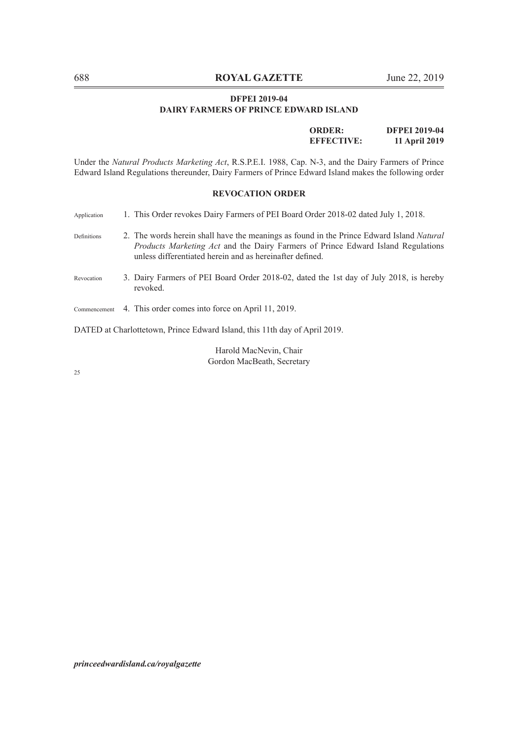## **DFPEI 2019-04 DAIRY FARMERS OF PRINCE EDWARD ISLAND**

**ORDER: DFPEI 2019-04 EFFECTIVE: 11 April 2019**

Under the *Natural Products Marketing Act*, R.S.P.E.I. 1988, Cap. N-3, and the Dairy Farmers of Prince Edward Island Regulations thereunder, Dairy Farmers of Prince Edward Island makes the following order

## **REVOCATION ORDER**

| Application  | 1. This Order revokes Dairy Farmers of PEI Board Order 2018-02 dated July 1, 2018.                                                                                                                                                              |
|--------------|-------------------------------------------------------------------------------------------------------------------------------------------------------------------------------------------------------------------------------------------------|
| Definitions  | 2. The words herein shall have the meanings as found in the Prince Edward Island Natural<br><i>Products Marketing Act</i> and the Dairy Farmers of Prince Edward Island Regulations<br>unless differentiated herein and as hereinafter defined. |
| Revocation   | 3. Dairy Farmers of PEI Board Order 2018-02, dated the 1st day of July 2018, is hereby<br>revoked.                                                                                                                                              |
| Commencement | 4. This order comes into force on April 11, 2019.                                                                                                                                                                                               |

DATED at Charlottetown, Prince Edward Island, this 11th day of April 2019.

Harold MacNevin, Chair Gordon MacBeath, Secretary

25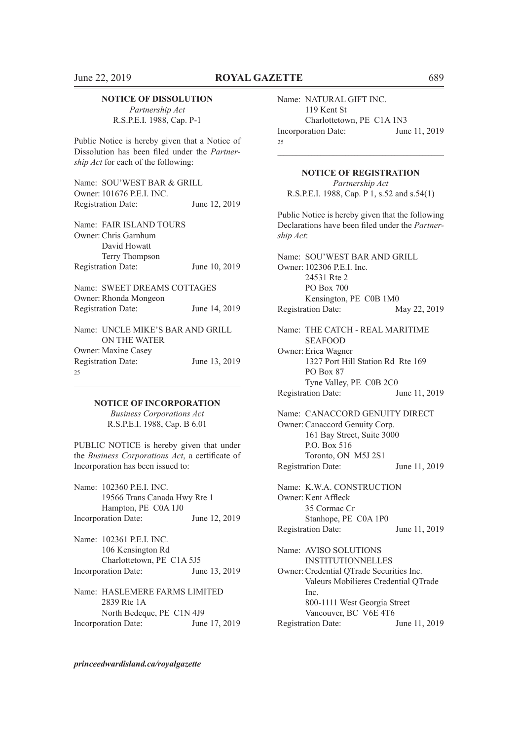#### **NOTICE OF DISSOLUTION**

*Partnership Act* R.S.P.E.I. 1988, Cap. P-1

Public Notice is hereby given that a Notice of Dissolution has been filed under the *Partnership Act* for each of the following:

| Name: SOU'WEST BAR & GRILL |               |
|----------------------------|---------------|
| Owner: 101676 P.E.I. INC.  |               |
| <b>Registration Date:</b>  | June 12, 2019 |

Name: FAIR ISLAND TOURS Owner: Chris Garnhum David Howatt Terry Thompson Registration Date: June 10, 2019

| Name: SWEET DREAMS COTTAGES                      |               |
|--------------------------------------------------|---------------|
| Owner: Rhonda Mongeon                            |               |
| <b>Registration Date:</b>                        | June 14, 2019 |
| Name: UNCLE MIKE'S BAR AND GRILL<br>ON THE WATER |               |

Owner: Maxine Casey Registration Date: June 13, 2019  $25$ 

 $\mathcal{L}_\text{max}$  and  $\mathcal{L}_\text{max}$  and  $\mathcal{L}_\text{max}$  and  $\mathcal{L}_\text{max}$  and  $\mathcal{L}_\text{max}$  and  $\mathcal{L}_\text{max}$ **NOTICE OF INCORPORATION**

> *Business Corporations Act*  R.S.P.E.I. 1988, Cap. B 6.01

PUBLIC NOTICE is hereby given that under the *Business Corporations Act*, a certificate of Incorporation has been issued to:

| Name: 102360 P.E.I. INC. |                               |               |
|--------------------------|-------------------------------|---------------|
|                          | 19566 Trans Canada Hwy Rte 1  |               |
|                          | Hampton, PE C0A 1J0           |               |
|                          | Incorporation Date:           | June 12, 2019 |
|                          | Name: 102361 P.E.I. INC.      |               |
|                          | 106 Kensington Rd             |               |
|                          | Charlottetown, PE C1A 5J5     |               |
|                          | Incorporation Date:           | June 13, 2019 |
|                          | Name: HASLEMERE FARMS LIMITED |               |
|                          | 2839 Rte 1A                   |               |
|                          | North Bedeque, PE C1N 4J9     |               |
|                          | Incorporation Date:           | June 17, 2019 |

Name: NATURAL GIFT INC. 119 Kent St Charlottetown, PE C1A 1N3 Incorporation Date: June 11, 2019  $25$ 

**NOTICE OF REGISTRATION** *Partnership Act* R.S.P.E.I. 1988, Cap. P 1, s.52 and s.54(1)

 $\mathcal{L}_\text{max}$  and  $\mathcal{L}_\text{max}$  and  $\mathcal{L}_\text{max}$  and  $\mathcal{L}_\text{max}$  and  $\mathcal{L}_\text{max}$  and  $\mathcal{L}_\text{max}$ 

Public Notice is hereby given that the following Declarations have been filed under the *Partnership Act*:

Name: SOU'WEST BAR AND GRILL Owner: 102306 P.E.I. Inc. 24531 Rte 2 PO Box 700 Kensington, PE C0B 1M0 Registration Date: May 22, 2019 Name: THE CATCH - REAL MARITIME SEAFOOD Owner: Erica Wagner 1327 Port Hill Station Rd Rte 169 PO Box 87 Tyne Valley, PE C0B 2C0

Registration Date: June 11, 2019

Name: CANACCORD GENUITY DIRECT Owner: Canaccord Genuity Corp. 161 Bay Street, Suite 3000 P.O. Box 516 Toronto, ON M5J 2S1 Registration Date: June 11, 2019

Name: K.W.A. CONSTRUCTION Owner: Kent Affleck 35 Cormac Cr Stanhope, PE C0A 1P0 Registration Date: June 11, 2019

Name: AVISO SOLUTIONS INSTITUTIONNELLES Owner: Credential QTrade Securities Inc. Valeurs Mobilieres Credential QTrade Inc. 800-1111 West Georgia Street Vancouver, BC V6E 4T6 Registration Date: June 11, 2019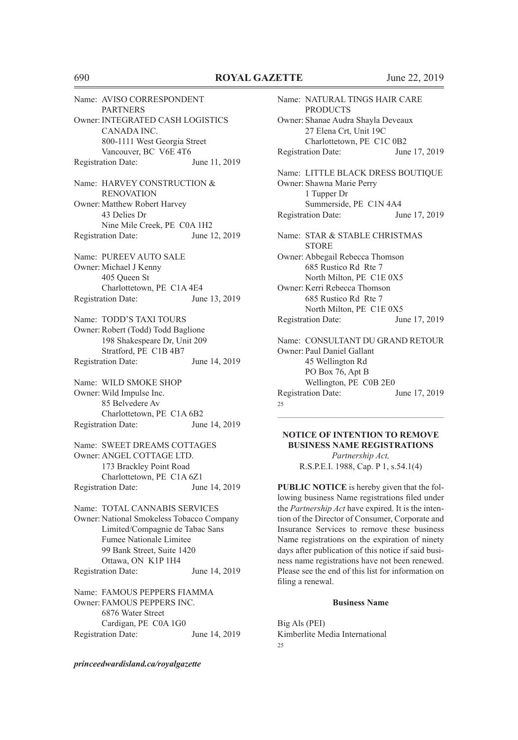Name: AVISO CORRESPONDENT **PARTNERS** Owner: INTEGRATED CASH LOGISTICS CANADA INC. 800-1111 West Georgia Street Vancouver, BC V6E 4T6<br>tition Date: June 11, 2019 Registration Date: Name: HARVEY CONSTRUCTION & **RENOVATION** Owner: Matthew Robert Harvey 43 Delies Dr Nine Mile Creek, PE C0A 1H2 Registration Date: June 12, 2019 Name: PUREEV AUTO SALE Owner: Michael J Kenny 405 Queen St Charlottetown, PE C1A 4E4 Registration Date: June 13, 2019 Name: TODD'S TAXI TOURS Owner: Robert (Todd) Todd Baglione 198 Shakespeare Dr, Unit 209 Stratford, PE C1B 4B7 Registration Date: June 14, 2019 Name: WILD SMOKE SHOP Owner: Wild Impulse Inc. 85 Belvedere Av Charlottetown, PE C1A 6B2 Registration Date: June 14, 2019 Name: SWEET DREAMS COTTAGES Owner: ANGEL COTTAGE LTD. 173 Brackley Point Road Charlottetown, PE C1A 6Z1 Registration Date: June 14, 2019 Name: TOTAL CANNABIS SERVICES Owner: National Smokeless Tobacco Company Limited/Compagnie de Tabac Sans Fumee Nationale Limitee 99 Bank Street, Suite 1420 Ottawa, ON K1P 1H4 Registration Date: June 14, 2019 Name: FAMOUS PEPPERS FIAMMA Owner: FAMOUS PEPPERS INC. 6876 Water Street Cardigan, PE C0A 1G0 Registration Date: June 14, 2019

*princeedwardisland.ca/royalgazette*

Name: NATURAL TINGS HAIR CARE **PRODUCTS** Owner: Shanae Audra Shayla Deveaux 27 Elena Crt, Unit 19C Charlottetown, PE C1C 0B2 Registration Date: June 17, 2019 Name: LITTLE BLACK DRESS BOUTIQUE Owner: Shawna Marie Perry 1 Tupper Dr Summerside, PE C1N 4A4 Registration Date: June 17, 2019 Name: STAR & STABLE CHRISTMAS **STORE** Owner: Abbegail Rebecca Thomson 685 Rustico Rd Rte 7 North Milton, PE C1E 0X5 Owner: Kerri Rebecca Thomson 685 Rustico Rd Rte 7 North Milton, PE C1E 0X5 Registration Date: June 17, 2019 Name: CONSULTANT DU GRAND RETOUR Owner: Paul Daniel Gallant 45 Wellington Rd PO Box 76, Apt B Wellington, PE C0B 2E0 Registration Date: June 17, 2019 25

**NOTICE OF INTENTION TO REMOVE BUSINESS NAME REGISTRATIONS** *Partnership Act,* R.S.P.E.I. 1988, Cap. P 1, s.54.1(4)

 $\mathcal{L}_\text{max}$  and  $\mathcal{L}_\text{max}$  and  $\mathcal{L}_\text{max}$  and  $\mathcal{L}_\text{max}$  and  $\mathcal{L}_\text{max}$  and  $\mathcal{L}_\text{max}$ 

**PUBLIC NOTICE** is hereby given that the following business Name registrations filed under the *Partnership Act* have expired. It is the intention of the Director of Consumer, Corporate and Insurance Services to remove these business Name registrations on the expiration of ninety days after publication of this notice if said business name registrations have not been renewed. Please see the end of this list for information on filing a renewal.

#### **Business Name**

Big Als (PEI) Kimberlite Media International  $25$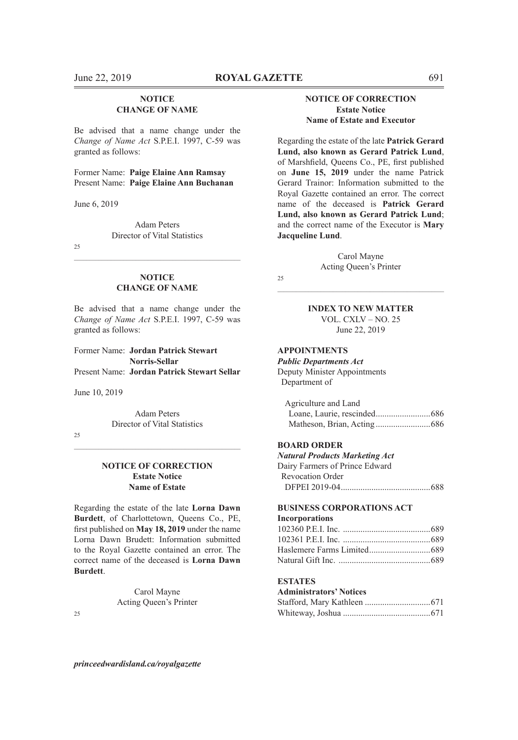## **NOTICE CHANGE OF NAME**

Be advised that a name change under the *Change of Name Act* S.P.E.I. 1997, C-59 was granted as follows:

Former Name: **Paige Elaine Ann Ramsay** Present Name: **Paige Elaine Ann Buchanan**

June 6, 2019

Adam Peters Director of Vital Statistics

25

#### **NOTICE CHANGE OF NAME**

 $\mathcal{L}_\text{max} = \mathcal{L}_\text{max} = \mathcal{L}_\text{max} = \mathcal{L}_\text{max} = \mathcal{L}_\text{max} = \mathcal{L}_\text{max} = \mathcal{L}_\text{max} = \mathcal{L}_\text{max} = \mathcal{L}_\text{max} = \mathcal{L}_\text{max} = \mathcal{L}_\text{max} = \mathcal{L}_\text{max} = \mathcal{L}_\text{max} = \mathcal{L}_\text{max} = \mathcal{L}_\text{max} = \mathcal{L}_\text{max} = \mathcal{L}_\text{max} = \mathcal{L}_\text{max} = \mathcal{$ 

Be advised that a name change under the *Change of Name Act* S.P.E.I. 1997, C-59 was granted as follows:

Former Name: **Jordan Patrick Stewart Norris-Sellar** Present Name: **Jordan Patrick Stewart Sellar**

June 10, 2019

Adam Peters Director of Vital Statistics

 $\mathcal{L}_\text{max} = \mathcal{L}_\text{max} = \mathcal{L}_\text{max} = \mathcal{L}_\text{max} = \mathcal{L}_\text{max} = \mathcal{L}_\text{max} = \mathcal{L}_\text{max} = \mathcal{L}_\text{max} = \mathcal{L}_\text{max} = \mathcal{L}_\text{max} = \mathcal{L}_\text{max} = \mathcal{L}_\text{max} = \mathcal{L}_\text{max} = \mathcal{L}_\text{max} = \mathcal{L}_\text{max} = \mathcal{L}_\text{max} = \mathcal{L}_\text{max} = \mathcal{L}_\text{max} = \mathcal{$ 

25

## **NOTICE OF CORRECTION Estate Notice Name of Estate**

Regarding the estate of the late **Lorna Dawn Burdett**, of Charlottetown, Queens Co., PE, first published on **May 18, 2019** under the name Lorna Dawn Brudett: Information submitted to the Royal Gazette contained an error. The correct name of the deceased is **Lorna Dawn Burdett**.

> Carol Mayne Acting Queen's Printer

 $25$ 

## **NOTICE OF CORRECTION Estate Notice Name of Estate and Executor**

Regarding the estate of the late **Patrick Gerard Lund, also known as Gerard Patrick Lund**, of Marshfield, Queens Co., PE, first published on **June 15, 2019** under the name Patrick Gerard Trainor: Information submitted to the Royal Gazette contained an error. The correct name of the deceased is **Patrick Gerard Lund, also known as Gerard Patrick Lund**; and the correct name of the Executor is **Mary Jacqueline Lund**.

> Carol Mayne Acting Queen's Printer

25

 $\mathcal{L}_\text{max} = \mathcal{L}_\text{max} = \mathcal{L}_\text{max} = \mathcal{L}_\text{max} = \mathcal{L}_\text{max} = \mathcal{L}_\text{max} = \mathcal{L}_\text{max} = \mathcal{L}_\text{max} = \mathcal{L}_\text{max} = \mathcal{L}_\text{max} = \mathcal{L}_\text{max} = \mathcal{L}_\text{max} = \mathcal{L}_\text{max} = \mathcal{L}_\text{max} = \mathcal{L}_\text{max} = \mathcal{L}_\text{max} = \mathcal{L}_\text{max} = \mathcal{L}_\text{max} = \mathcal{$ **INDEX TO NEW MATTER**

VOL. CXLV – NO. 25 June 22, 2019

## **APPOINTMENTS**

*Public Departments Act* Deputy Minister Appointments Department of

| Agriculture and Land |  |
|----------------------|--|
|                      |  |
|                      |  |

#### **BOARD ORDER**

| <b>Natural Products Marketing Act</b> |  |
|---------------------------------------|--|
| Dairy Farmers of Prince Edward        |  |
| <b>Revocation Order</b>               |  |
|                                       |  |

## **BUSINESS CORPORATIONS ACT**

| <b>Incorporations</b>  |  |
|------------------------|--|
|                        |  |
| 102361 P.E.I. Inc. 689 |  |
|                        |  |
|                        |  |

### **ESTATES**

| <b>Administrators' Notices</b> |  |
|--------------------------------|--|
|                                |  |
|                                |  |